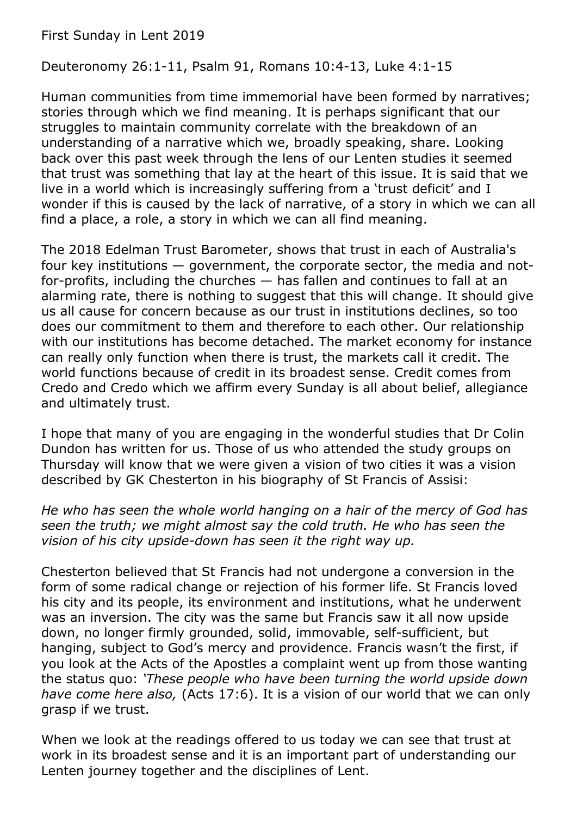First Sunday in Lent 2019

Deuteronomy 26:1-11, Psalm 91, Romans 10:4-13, Luke 4:1-15

Human communities from time immemorial have been formed by narratives; stories through which we find meaning. It is perhaps significant that our struggles to maintain community correlate with the breakdown of an understanding of a narrative which we, broadly speaking, share. Looking back over this past week through the lens of our Lenten studies it seemed that trust was something that lay at the heart of this issue. It is said that we live in a world which is increasingly suffering from a 'trust deficit' and I wonder if this is caused by the lack of narrative, of a story in which we can all find a place, a role, a story in which we can all find meaning.

The 2018 Edelman Trust Barometer, shows that trust in each of Australia's four key institutions — government, the corporate sector, the media and notfor-profits, including the churches — has fallen and continues to fall at an alarming rate, there is nothing to suggest that this will change. It should give us all cause for concern because as our trust in institutions declines, so too does our commitment to them and therefore to each other. Our relationship with our institutions has become detached. The market economy for instance can really only function when there is trust, the markets call it credit. The world functions because of credit in its broadest sense. Credit comes from Credo and Credo which we affirm every Sunday is all about belief, allegiance and ultimately trust.

I hope that many of you are engaging in the wonderful studies that Dr Colin Dundon has written for us. Those of us who attended the study groups on Thursday will know that we were given a vision of two cities it was a vision described by GK Chesterton in his biography of St Francis of Assisi:

*He who has seen the whole world hanging on a hair of the mercy of God has seen the truth; we might almost say the cold truth. He who has seen the vision of his city upside-down has seen it the right way up.*

Chesterton believed that St Francis had not undergone a conversion in the form of some radical change or rejection of his former life. St Francis loved his city and its people, its environment and institutions, what he underwent was an inversion. The city was the same but Francis saw it all now upside down, no longer firmly grounded, solid, immovable, self-sufficient, but hanging, subject to God's mercy and providence. Francis wasn't the first, if you look at the Acts of the Apostles a complaint went up from those wanting the status quo: *'These people who have been turning the world upside down have come here also,* (Acts 17:6). It is a vision of our world that we can only grasp if we trust.

When we look at the readings offered to us today we can see that trust at work in its broadest sense and it is an important part of understanding our Lenten journey together and the disciplines of Lent.